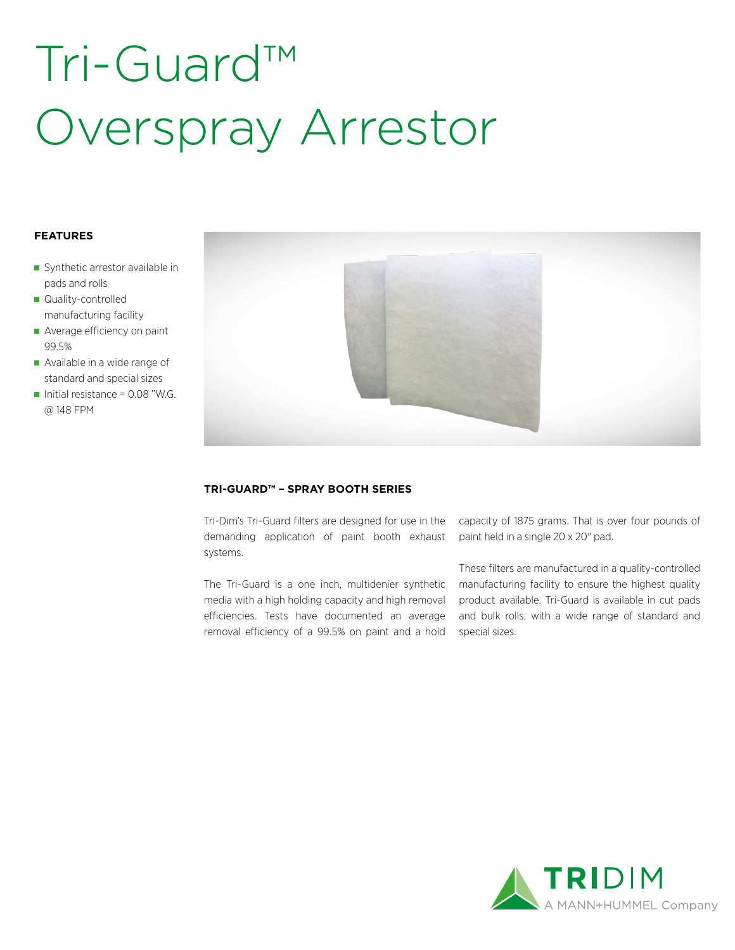# Tri-Guard™ Overspray Arrestor

### **FEATURES**

- Synthetic arrestor available in pads and rolls
- Quality-controlled manufacturing facility
- Average efficiency on paint 99.5%
- Available in a wide range of standard and special sizes
- Initial resistance =  $0.08$  "W.G. @ 148 FPM



### **TRI-GUARD™ – SPRAY BOOTH SERIES**

Tri-Dim's Tri-Guard filters are designed for use in the demanding application of paint booth exhaust systems.

The Tri-Guard is a one inch, multidenier synthetic media with a high holding capacity and high removal efficiencies. Tests have documented an average removal efficiency of a 99.5% on paint and a hold

capacity of 1875 grams. That is over four pounds of paint held in a single 20 x 20" pad.

These filters are manufactured in a quality-controlled manufacturing facility to ensure the highest quality product available. Tri-Guard is available in cut pads and bulk rolls, with a wide range of standard and special sizes.